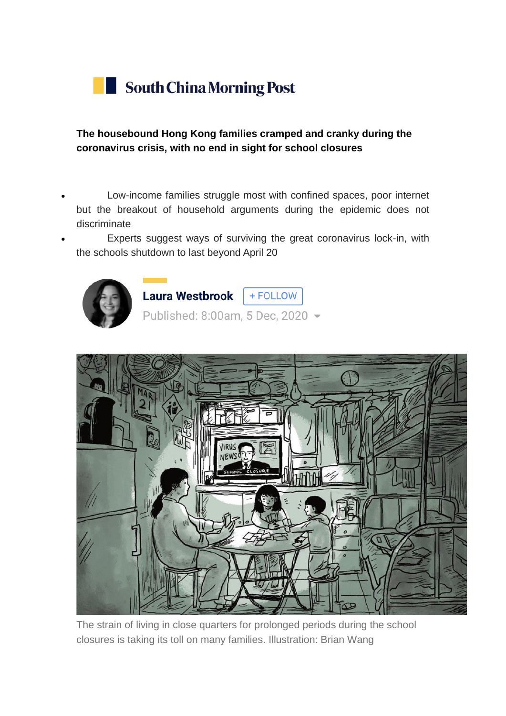

**The housebound Hong Kong families cramped and cranky during the coronavirus crisis, with no end in sight for school closures**

- Low-income families struggle most with confined spaces, poor internet but the breakout of household arguments during the epidemic does not discriminate
	- Experts suggest ways of surviving the great coronavirus lock-in, with the schools shutdown to last beyond April 20





The strain of living in close quarters for prolonged periods during the school closures is taking its toll on many families. Illustration: Brian Wang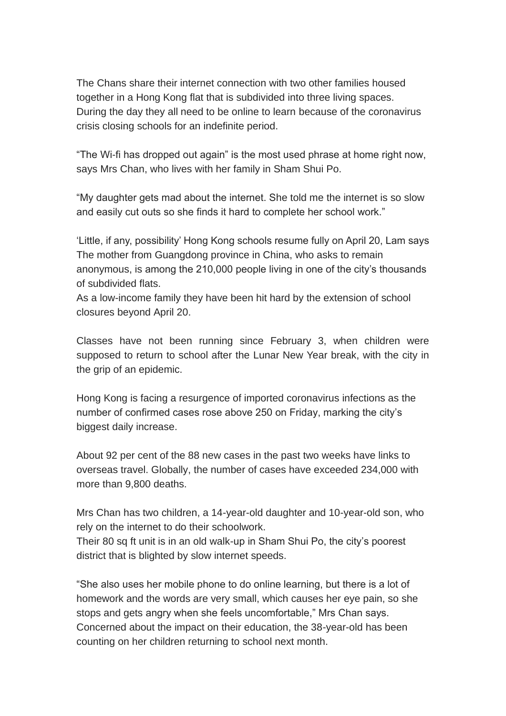The Chans share their internet connection with two other families housed together in a Hong Kong flat that is subdivided into three living spaces. During the day they all need to be online to learn because of the coronavirus crisis closing schools for an indefinite period.

"The Wi-fi has dropped out again" is the most used phrase at home right now, says Mrs Chan, who lives with her family in Sham Shui Po.

"My daughter gets mad about the internet. She told me the internet is so slow and easily cut outs so she finds it hard to complete her school work."

['Little, if any, possibility' Hong Kong schools resume fully on April 20, Lam says](https://www.scmp.com/news/hong-kong/education/article/3075521/coronavirus-little-if-any-possibility-hong-kong-schools) The mother from Guangdong province in China, who asks to remain anonymous, is among the 210,000 people living in one of the city's thousands of subdivided flats.

As a low-income family they have been hit hard by the extension of school closures beyond April 20.

Classes have not been running since February 3, when children were supposed to return to school after the Lunar New Year break, with the city in the grip of an epidemic.

Hong Kong is facing a resurgence of imported coronavirus infections as the number of confirmed cases rose above 250 on Friday, marking the city's biggest daily increase.

About 92 per cent of the 88 new cases in the past two weeks have links to overseas travel. Globally, the number of cases have exceeded 234,000 with more than 9,800 deaths.

Mrs Chan has two children, a 14-year-old daughter and 10-year-old son, who rely on the internet to do their schoolwork.

Their 80 sq ft unit is in an old walk-up in Sham Shui Po, the city's poorest district that is blighted by slow internet speeds.

"She also uses her mobile phone to do online learning, but there is a lot of homework and the words are very small, which causes her eye pain, so she stops and gets angry when she feels uncomfortable," Mrs Chan says. Concerned about the impact on their education, the 38-year-old has been counting on her children returning to school next month.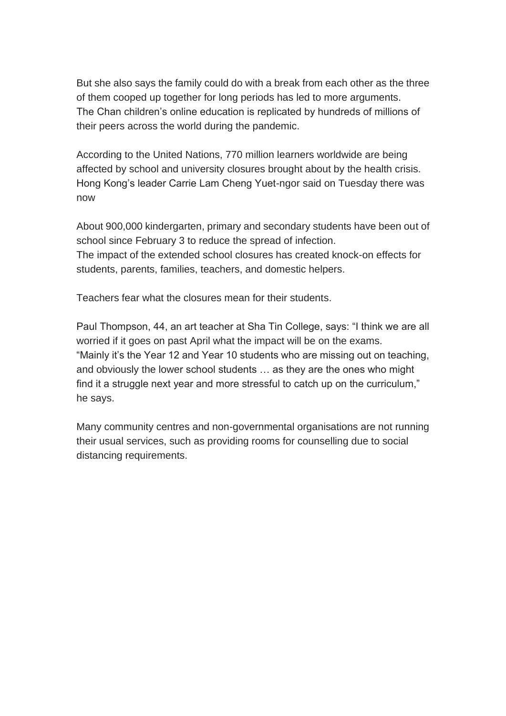But she also says the family could do with a break from each other as the three of them cooped up together for long periods has led to more arguments. The Chan children's online education is replicated by hundreds of millions of their peers across the world during the pandemic.

According to the United Nations, 770 million learners worldwide are being affected by school and university closures brought about by the health crisis. Hong Kong's leader Carrie Lam Cheng Yuet-ngor said on Tuesday there was now

About 900,000 kindergarten, primary and secondary students have been out of school since February 3 to reduce the spread of infection. The impact of the extended school closures has created knock-on effects for students, parents, families, teachers, and domestic helpers.

Teachers fear what the closures mean for their students.

Paul Thompson, 44, an art teacher at Sha Tin College, says: "I think we are all worried if it goes on past April what the impact will be on the exams. "Mainly it's the Year 12 and Year 10 students who are missing out on teaching, and obviously the lower school students … as they are the ones who might find it a struggle next year and more stressful to catch up on the curriculum," he says.

Many community centres and non-governmental organisations are not running their usual services, such as providing rooms for counselling due to social distancing requirements.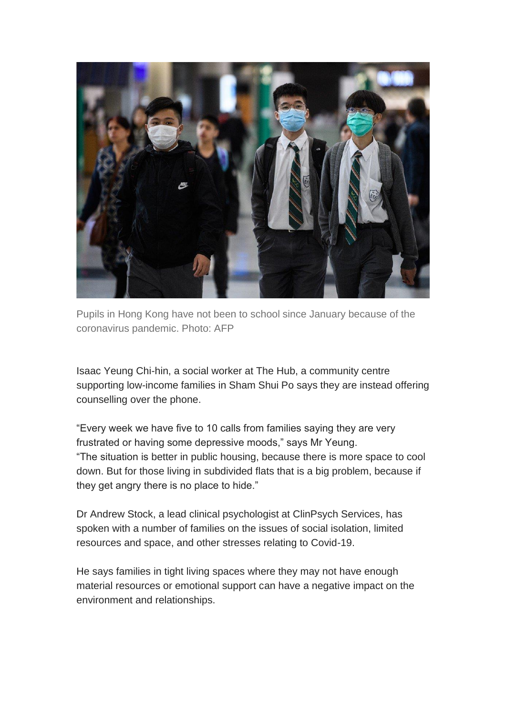

Pupils in Hong Kong have not been to school since January because of the coronavirus pandemic. Photo: AFP

Isaac Yeung Chi-hin, a social worker at The Hub, a community centre supporting low-income families in Sham Shui Po says they are instead offering counselling over the phone.

"Every week we have five to 10 calls from families saying they are very frustrated or having some depressive moods," says Mr Yeung. "The situation is better in public housing, because there is more space to cool down. But for those living in subdivided flats that is a big problem, because if they get angry there is no place to hide."

Dr Andrew Stock, a lead clinical psychologist at ClinPsych Services, has spoken with a number of families on the issues of social isolation, limited resources and space, and other stresses relating to Covid-19.

He says families in tight living spaces where they may not have enough material resources or emotional support can have a negative impact on the environment and relationships.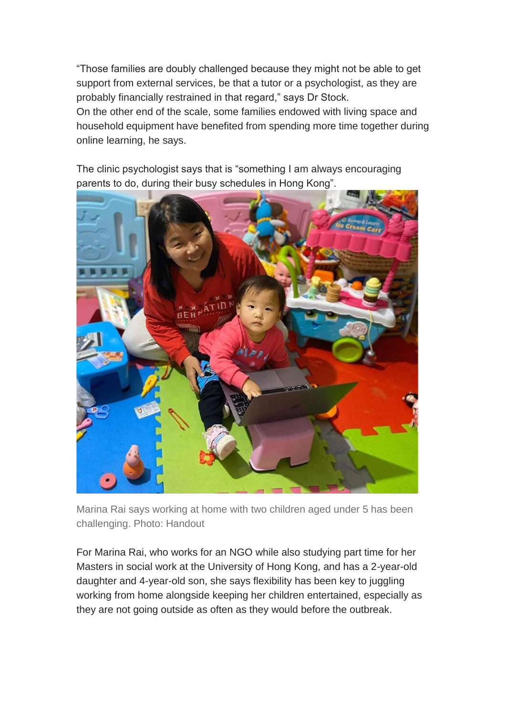"Those families are doubly challenged because they might not be able to get support from external services, be that a tutor or a psychologist, as they are probably financially restrained in that regard," says Dr Stock.

On the other end of the scale, some families endowed with living space and household equipment have benefited from spending more time together during online learning, he says.

The clinic psychologist says that is "something I am always encouraging parents to do, during their busy schedules in Hong Kong".



Marina Rai says working at home with two children aged under 5 has been challenging. Photo: Handout

For Marina Rai, who works for an NGO while also studying part time for her Masters in social work at the University of Hong Kong, and has a 2-year-old daughter and 4-year-old son, she says flexibility has been key to juggling working from home alongside keeping her children entertained, especially as they are not going outside as often as they would before the outbreak.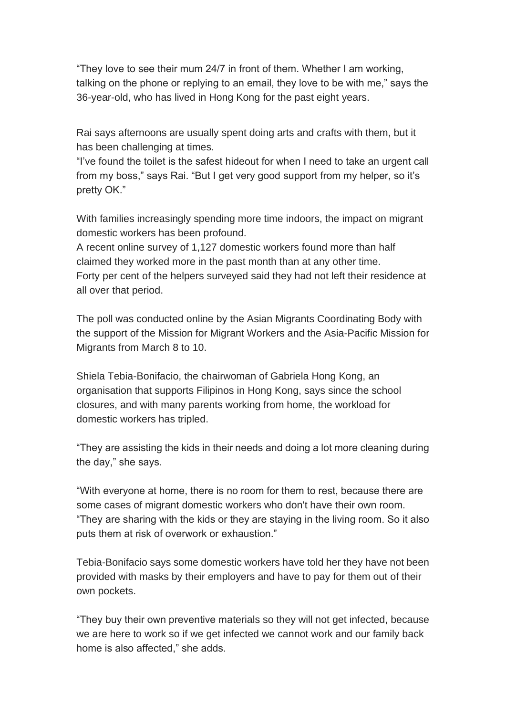"They love to see their mum 24/7 in front of them. Whether I am working, talking on the phone or replying to an email, they love to be with me," says the 36-year-old, who has lived in Hong Kong for the past eight years.

Rai says afternoons are usually spent doing arts and crafts with them, but it has been challenging at times.

"I've found the toilet is the safest hideout for when I need to take an urgent call from my boss," says Rai. "But I get very good support from my helper, so it's pretty OK."

With families increasingly spending more time indoors, the impact on migrant domestic workers has been profound.

A recent online survey of 1,127 domestic workers found more than half claimed they worked more in the past month than at any other time. Forty per cent of the helpers surveyed said they had not left their residence at all over that period.

The poll was conducted online by the Asian Migrants Coordinating Body with the support of the Mission for Migrant Workers and the Asia-Pacific Mission for Migrants from March 8 to 10.

Shiela Tebia-Bonifacio, the chairwoman of Gabriela Hong Kong, an organisation that supports Filipinos in Hong Kong, says since the school closures, and with many parents working from home, the workload for domestic workers has tripled.

"They are assisting the kids in their needs and doing a lot more cleaning during the day," she says.

"With everyone at home, there is no room for them to rest, because there are some cases of migrant domestic workers who don't have their own room. "They are sharing with the kids or they are staying in the living room. So it also puts them at risk of overwork or exhaustion."

Tebia-Bonifacio says some domestic workers have told her they have not been provided with masks by their employers and have to pay for them out of their own pockets.

"They buy their own preventive materials so they will not get infected, because we are here to work so if we get infected we cannot work and our family back home is also affected," she adds.